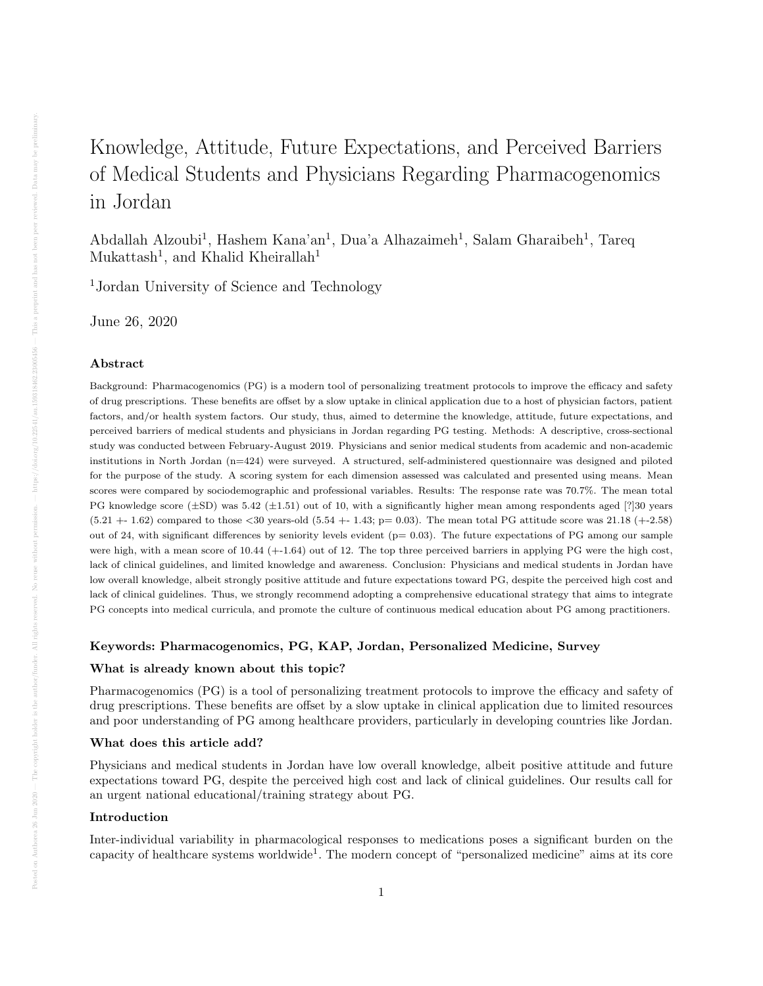# Knowledge, Attitude, Future Expectations, and Perceived Barriers of Medical Students and Physicians Regarding Pharmacogenomics in Jordan

Abdallah Alzoubi<sup>1</sup>, Hashem Kana'an<sup>1</sup>, Dua'a Alhazaimeh<sup>1</sup>, Salam Gharaibeh<sup>1</sup>, Tareq  $Mukattash<sup>1</sup>$ , and Khalid Kheirallah<sup>1</sup>

<sup>1</sup>Jordan University of Science and Technology

June 26, 2020

#### Abstract

Background: Pharmacogenomics (PG) is a modern tool of personalizing treatment protocols to improve the efficacy and safety of drug prescriptions. These benefits are offset by a slow uptake in clinical application due to a host of physician factors, patient factors, and/or health system factors. Our study, thus, aimed to determine the knowledge, attitude, future expectations, and perceived barriers of medical students and physicians in Jordan regarding PG testing. Methods: A descriptive, cross-sectional study was conducted between February-August 2019. Physicians and senior medical students from academic and non-academic institutions in North Jordan (n=424) were surveyed. A structured, self-administered questionnaire was designed and piloted for the purpose of the study. A scoring system for each dimension assessed was calculated and presented using means. Mean scores were compared by sociodemographic and professional variables. Results: The response rate was 70.7%. The mean total PG knowledge score  $(\pm SD)$  was 5.42  $(\pm 1.51)$  out of 10, with a significantly higher mean among respondents aged [?]30 years  $(5.21 + 1.62)$  compared to those <30 years-old  $(5.54 + 1.43; p = 0.03)$ . The mean total PG attitude score was 21.18  $(+2.58)$ out of 24, with significant differences by seniority levels evident ( $p= 0.03$ ). The future expectations of PG among our sample were high, with a mean score of 10.44 (+-1.64) out of 12. The top three perceived barriers in applying PG were the high cost, lack of clinical guidelines, and limited knowledge and awareness. Conclusion: Physicians and medical students in Jordan have low overall knowledge, albeit strongly positive attitude and future expectations toward PG, despite the perceived high cost and lack of clinical guidelines. Thus, we strongly recommend adopting a comprehensive educational strategy that aims to integrate PG concepts into medical curricula, and promote the culture of continuous medical education about PG among practitioners.

#### Keywords: Pharmacogenomics, PG, KAP, Jordan, Personalized Medicine, Survey

#### What is already known about this topic?

Pharmacogenomics (PG) is a tool of personalizing treatment protocols to improve the efficacy and safety of drug prescriptions. These benefits are offset by a slow uptake in clinical application due to limited resources and poor understanding of PG among healthcare providers, particularly in developing countries like Jordan.

## What does this article add?

Physicians and medical students in Jordan have low overall knowledge, albeit positive attitude and future expectations toward PG, despite the perceived high cost and lack of clinical guidelines. Our results call for an urgent national educational/training strategy about PG.

#### Introduction

Inter-individual variability in pharmacological responses to medications poses a significant burden on the capacity of healthcare systems worldwide<sup>1</sup>. The modern concept of "personalized medicine" aims at its core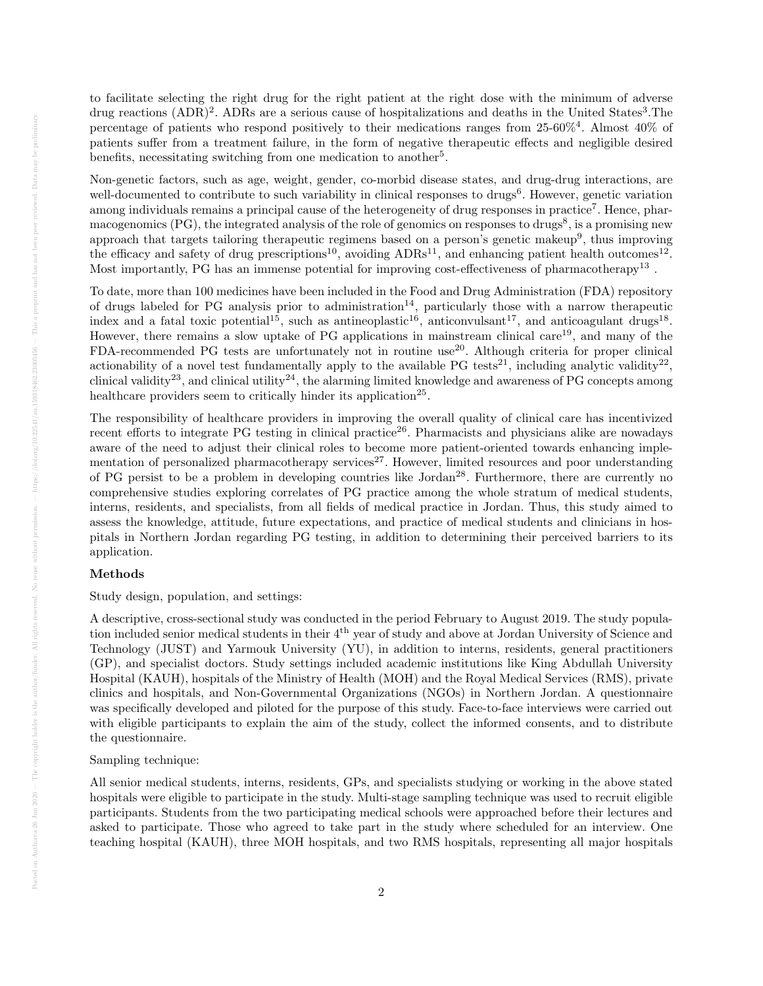to facilitate selecting the right drug for the right patient at the right dose with the minimum of adverse drug reactions (ADR)<sup>2</sup>. ADRs are a serious cause of hospitalizations and deaths in the United States<sup>3</sup>. The percentage of patients who respond positively to their medications ranges from 25-60%<sup>4</sup> . Almost 40% of patients suffer from a treatment failure, in the form of negative therapeutic effects and negligible desired benefits, necessitating switching from one medication to another<sup>5</sup>.

Non-genetic factors, such as age, weight, gender, co-morbid disease states, and drug-drug interactions, are well-documented to contribute to such variability in clinical responses to drugs<sup>6</sup>. However, genetic variation among individuals remains a principal cause of the heterogeneity of drug responses in practice<sup>7</sup>. Hence, pharmacogenomics (PG), the integrated analysis of the role of genomics on responses to drugs<sup>8</sup>, is a promising new approach that targets tailoring therapeutic regimens based on a person's genetic makeup<sup>9</sup>, thus improving the efficacy and safety of drug prescriptions<sup>10</sup>, avoiding  $\text{ADRs}^{11}$ , and enhancing patient health outcomes<sup>12</sup>. Most importantly, PG has an immense potential for improving cost-effectiveness of pharmacotherapy<sup>13</sup>.

To date, more than 100 medicines have been included in the Food and Drug Administration (FDA) repository of drugs labeled for PG analysis prior to administration<sup>14</sup>, particularly those with a narrow therapeutic index and a fatal toxic potential<sup>15</sup>, such as antineoplastic<sup>16</sup>, anticonvulsant<sup>17</sup>, and anticoagulant drugs<sup>18</sup>. However, there remains a slow uptake of PG applications in mainstream clinical care<sup>19</sup>, and many of the FDA-recommended PG tests are unfortunately not in routine use<sup>20</sup>. Although criteria for proper clinical actionability of a novel test fundamentally apply to the available PG tests<sup>21</sup>, including analytic validity<sup>22</sup>, clinical validity<sup>23</sup>, and clinical utility<sup>24</sup>, the alarming limited knowledge and awareness of PG concepts among healthcare providers seem to critically hinder its application<sup>25</sup>.

The responsibility of healthcare providers in improving the overall quality of clinical care has incentivized recent efforts to integrate PG testing in clinical practice<sup>26</sup>. Pharmacists and physicians alike are nowadays aware of the need to adjust their clinical roles to become more patient-oriented towards enhancing implementation of personalized pharmacotherapy services<sup>27</sup>. However, limited resources and poor understanding of PG persist to be a problem in developing countries like Jordan<sup>28</sup>. Furthermore, there are currently no comprehensive studies exploring correlates of PG practice among the whole stratum of medical students, interns, residents, and specialists, from all fields of medical practice in Jordan. Thus, this study aimed to assess the knowledge, attitude, future expectations, and practice of medical students and clinicians in hospitals in Northern Jordan regarding PG testing, in addition to determining their perceived barriers to its application.

## Methods

Study design, population, and settings:

A descriptive, cross-sectional study was conducted in the period February to August 2019. The study population included senior medical students in their 4th year of study and above at Jordan University of Science and Technology (JUST) and Yarmouk University (YU), in addition to interns, residents, general practitioners (GP), and specialist doctors. Study settings included academic institutions like King Abdullah University Hospital (KAUH), hospitals of the Ministry of Health (MOH) and the Royal Medical Services (RMS), private clinics and hospitals, and Non-Governmental Organizations (NGOs) in Northern Jordan. A questionnaire was specifically developed and piloted for the purpose of this study. Face-to-face interviews were carried out with eligible participants to explain the aim of the study, collect the informed consents, and to distribute the questionnaire.

## Sampling technique:

All senior medical students, interns, residents, GPs, and specialists studying or working in the above stated hospitals were eligible to participate in the study. Multi-stage sampling technique was used to recruit eligible participants. Students from the two participating medical schools were approached before their lectures and asked to participate. Those who agreed to take part in the study where scheduled for an interview. One teaching hospital (KAUH), three MOH hospitals, and two RMS hospitals, representing all major hospitals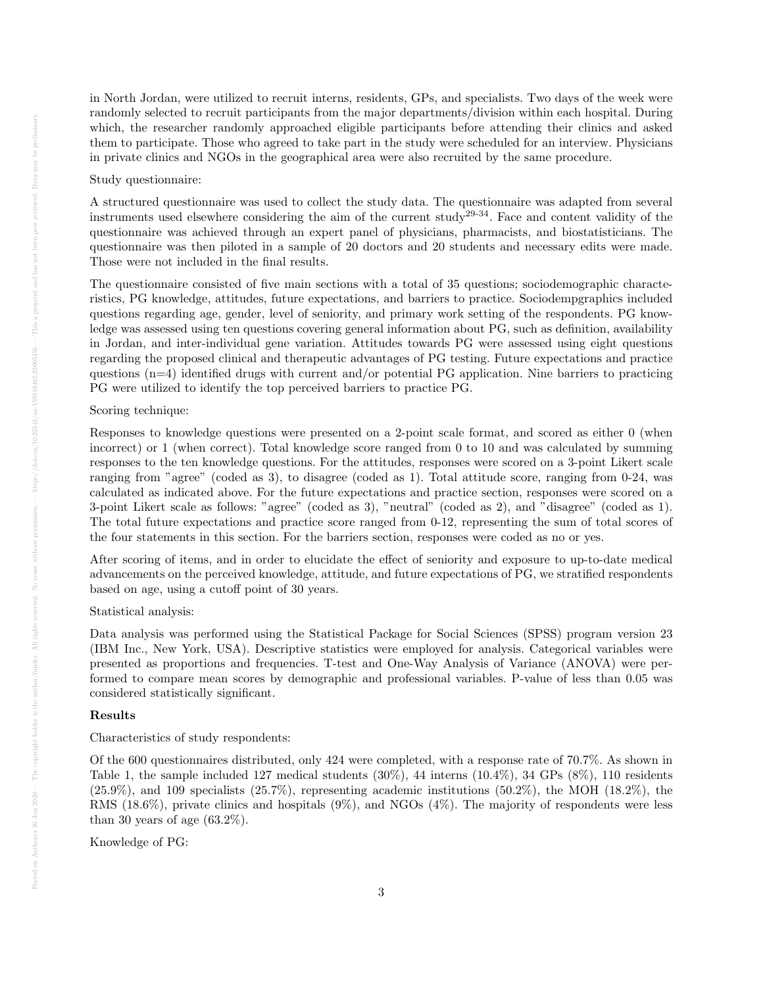in North Jordan, were utilized to recruit interns, residents, GPs, and specialists. Two days of the week were randomly selected to recruit participants from the major departments/division within each hospital. During which, the researcher randomly approached eligible participants before attending their clinics and asked them to participate. Those who agreed to take part in the study were scheduled for an interview. Physicians in private clinics and NGOs in the geographical area were also recruited by the same procedure.

#### Study questionnaire:

A structured questionnaire was used to collect the study data. The questionnaire was adapted from several instruments used elsewhere considering the aim of the current study<sup>29-34</sup>. Face and content validity of the questionnaire was achieved through an expert panel of physicians, pharmacists, and biostatisticians. The questionnaire was then piloted in a sample of 20 doctors and 20 students and necessary edits were made. Those were not included in the final results.

The questionnaire consisted of five main sections with a total of 35 questions; sociodemographic characteristics, PG knowledge, attitudes, future expectations, and barriers to practice. Sociodempgraphics included questions regarding age, gender, level of seniority, and primary work setting of the respondents. PG knowledge was assessed using ten questions covering general information about PG, such as definition, availability in Jordan, and inter-individual gene variation. Attitudes towards PG were assessed using eight questions regarding the proposed clinical and therapeutic advantages of PG testing. Future expectations and practice questions  $(n=4)$  identified drugs with current and/or potential PG application. Nine barriers to practicing PG were utilized to identify the top perceived barriers to practice PG.

## Scoring technique:

Responses to knowledge questions were presented on a 2-point scale format, and scored as either 0 (when incorrect) or 1 (when correct). Total knowledge score ranged from 0 to 10 and was calculated by summing responses to the ten knowledge questions. For the attitudes, responses were scored on a 3-point Likert scale ranging from "agree" (coded as 3), to disagree (coded as 1). Total attitude score, ranging from 0-24, was calculated as indicated above. For the future expectations and practice section, responses were scored on a 3-point Likert scale as follows: "agree" (coded as 3), "neutral" (coded as 2), and "disagree" (coded as 1). The total future expectations and practice score ranged from 0-12, representing the sum of total scores of the four statements in this section. For the barriers section, responses were coded as no or yes.

After scoring of items, and in order to elucidate the effect of seniority and exposure to up-to-date medical advancements on the perceived knowledge, attitude, and future expectations of PG, we stratified respondents based on age, using a cutoff point of 30 years.

#### Statistical analysis:

Data analysis was performed using the Statistical Package for Social Sciences (SPSS) program version 23 (IBM Inc., New York, USA). Descriptive statistics were employed for analysis. Categorical variables were presented as proportions and frequencies. T-test and One-Way Analysis of Variance (ANOVA) were performed to compare mean scores by demographic and professional variables. P-value of less than 0.05 was considered statistically significant.

## Results

#### Characteristics of study respondents:

Of the 600 questionnaires distributed, only 424 were completed, with a response rate of 70.7%. As shown in Table 1, the sample included 127 medical students (30%), 44 interns (10.4%), 34 GPs (8%), 110 residents  $(25.9\%)$ , and 109 specialists  $(25.7\%)$ , representing academic institutions  $(50.2\%)$ , the MOH  $(18.2\%)$ , the RMS (18.6%), private clinics and hospitals (9%), and NGOs (4%). The majority of respondents were less than 30 years of age  $(63.2\%)$ .

Knowledge of PG: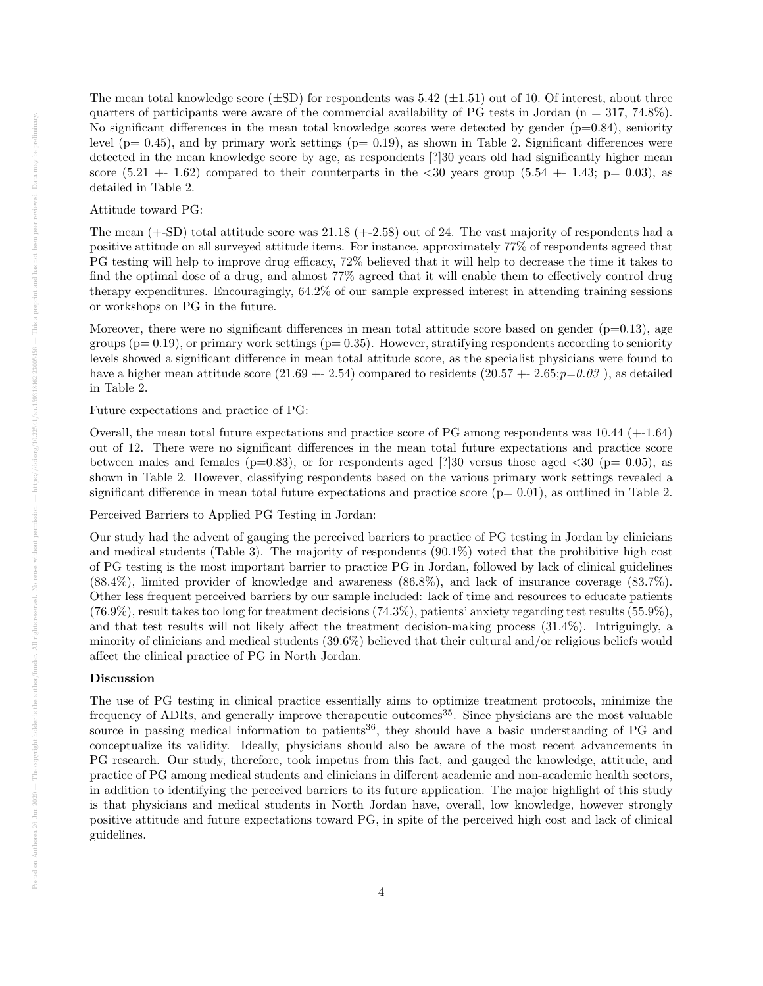The mean total knowledge score  $(\pm SD)$  for respondents was 5.42  $(\pm 1.51)$  out of 10. Of interest, about three quarters of participants were aware of the commercial availability of PG tests in Jordan ( $n = 317, 74.8\%$ ). No significant differences in the mean total knowledge scores were detected by gender  $(p=0.84)$ , seniority level  $(p= 0.45)$ , and by primary work settings  $(p= 0.19)$ , as shown in Table 2. Significant differences were detected in the mean knowledge score by age, as respondents [?]30 years old had significantly higher mean score  $(5.21 + 1.62)$  compared to their counterparts in the  $\langle 30 \rangle$  years group  $(5.54 + 1.43; p = 0.03)$ , as detailed in Table 2.

#### Attitude toward PG:

The mean (+-SD) total attitude score was 21.18 (+-2.58) out of 24. The vast majority of respondents had a positive attitude on all surveyed attitude items. For instance, approximately 77% of respondents agreed that PG testing will help to improve drug efficacy, 72% believed that it will help to decrease the time it takes to find the optimal dose of a drug, and almost 77% agreed that it will enable them to effectively control drug therapy expenditures. Encouragingly, 64.2% of our sample expressed interest in attending training sessions or workshops on PG in the future.

Moreover, there were no significant differences in mean total attitude score based on gender  $(p=0.13)$ , age groups ( $p= 0.19$ ), or primary work settings ( $p= 0.35$ ). However, stratifying respondents according to seniority levels showed a significant difference in mean total attitude score, as the specialist physicians were found to have a higher mean attitude score  $(21.69 + -2.54)$  compared to residents  $(20.57 + -2.65; p=0.03)$ , as detailed in Table 2.

Future expectations and practice of PG:

Overall, the mean total future expectations and practice score of PG among respondents was 10.44 (+-1.64) out of 12. There were no significant differences in the mean total future expectations and practice score between males and females ( $p=0.83$ ), or for respondents aged [?]30 versus those aged  $\langle 30 \rangle (p= 0.05)$ , as shown in Table 2. However, classifying respondents based on the various primary work settings revealed a significant difference in mean total future expectations and practice score  $(p= 0.01)$ , as outlined in Table 2.

Perceived Barriers to Applied PG Testing in Jordan:

Our study had the advent of gauging the perceived barriers to practice of PG testing in Jordan by clinicians and medical students (Table 3). The majority of respondents (90.1%) voted that the prohibitive high cost of PG testing is the most important barrier to practice PG in Jordan, followed by lack of clinical guidelines (88.4%), limited provider of knowledge and awareness (86.8%), and lack of insurance coverage (83.7%). Other less frequent perceived barriers by our sample included: lack of time and resources to educate patients (76.9%), result takes too long for treatment decisions (74.3%), patients' anxiety regarding test results (55.9%), and that test results will not likely affect the treatment decision-making process (31.4%). Intriguingly, a minority of clinicians and medical students (39.6%) believed that their cultural and/or religious beliefs would affect the clinical practice of PG in North Jordan.

#### Discussion

The use of PG testing in clinical practice essentially aims to optimize treatment protocols, minimize the frequency of ADRs, and generally improve therapeutic outcomes<sup>35</sup>. Since physicians are the most valuable source in passing medical information to patients<sup>36</sup>, they should have a basic understanding of PG and conceptualize its validity. Ideally, physicians should also be aware of the most recent advancements in PG research. Our study, therefore, took impetus from this fact, and gauged the knowledge, attitude, and practice of PG among medical students and clinicians in different academic and non-academic health sectors, in addition to identifying the perceived barriers to its future application. The major highlight of this study is that physicians and medical students in North Jordan have, overall, low knowledge, however strongly positive attitude and future expectations toward PG, in spite of the perceived high cost and lack of clinical guidelines.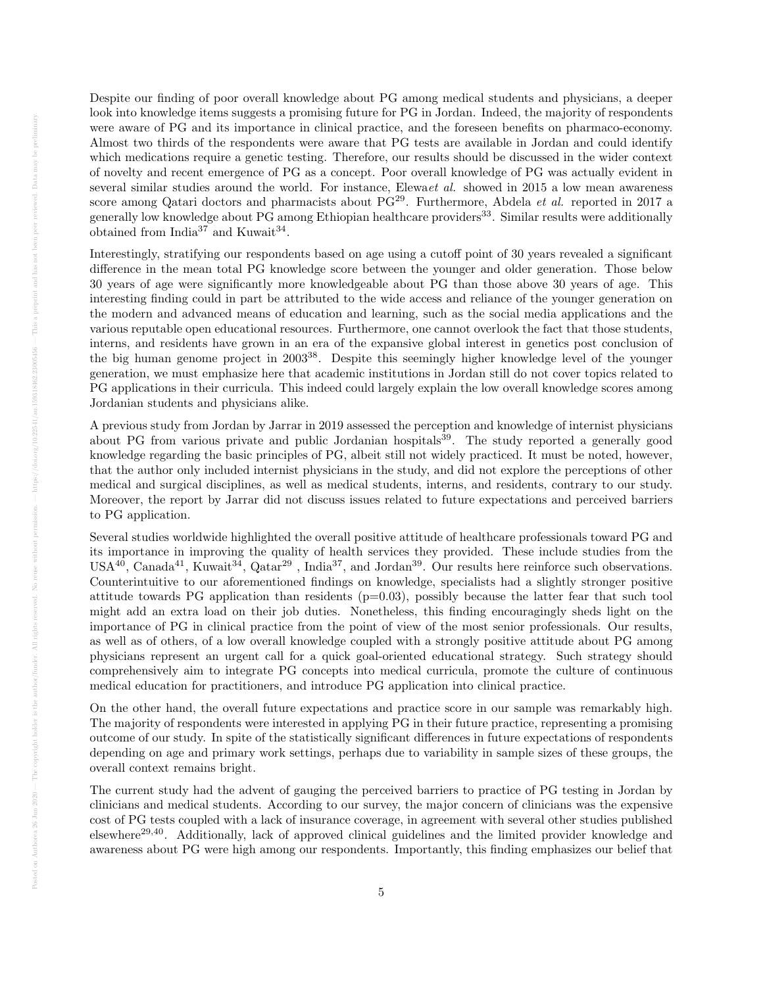Despite our finding of poor overall knowledge about PG among medical students and physicians, a deeper look into knowledge items suggests a promising future for PG in Jordan. Indeed, the majority of respondents were aware of PG and its importance in clinical practice, and the foreseen benefits on pharmaco-economy. Almost two thirds of the respondents were aware that PG tests are available in Jordan and could identify which medications require a genetic testing. Therefore, our results should be discussed in the wider context of novelty and recent emergence of PG as a concept. Poor overall knowledge of PG was actually evident in several similar studies around the world. For instance, Elewa*et al.* showed in 2015 a low mean awareness score among Qatari doctors and pharmacists about  $PG^{29}$ . Furthermore, Abdela *et al.* reported in 2017 a generally low knowledge about PG among Ethiopian healthcare providers<sup>33</sup>. Similar results were additionally obtained from India<sup>37</sup> and Kuwait<sup>34</sup>.

Interestingly, stratifying our respondents based on age using a cutoff point of 30 years revealed a significant difference in the mean total PG knowledge score between the younger and older generation. Those below 30 years of age were significantly more knowledgeable about PG than those above 30 years of age. This interesting finding could in part be attributed to the wide access and reliance of the younger generation on the modern and advanced means of education and learning, such as the social media applications and the various reputable open educational resources. Furthermore, one cannot overlook the fact that those students, interns, and residents have grown in an era of the expansive global interest in genetics post conclusion of the big human genome project in 2003<sup>38</sup>. Despite this seemingly higher knowledge level of the younger generation, we must emphasize here that academic institutions in Jordan still do not cover topics related to PG applications in their curricula. This indeed could largely explain the low overall knowledge scores among Jordanian students and physicians alike.

A previous study from Jordan by Jarrar in 2019 assessed the perception and knowledge of internist physicians about PG from various private and public Jordanian hospitals<sup>39</sup>. The study reported a generally good knowledge regarding the basic principles of PG, albeit still not widely practiced. It must be noted, however, that the author only included internist physicians in the study, and did not explore the perceptions of other medical and surgical disciplines, as well as medical students, interns, and residents, contrary to our study. Moreover, the report by Jarrar did not discuss issues related to future expectations and perceived barriers to PG application.

Several studies worldwide highlighted the overall positive attitude of healthcare professionals toward PG and its importance in improving the quality of health services they provided. These include studies from the  $USA^{40}$ , Canada<sup>41</sup>, Kuwait<sup>34</sup>, Qatar<sup>29</sup>, India<sup>37</sup>, and Jordan<sup>39</sup>. Our results here reinforce such observations. Counterintuitive to our aforementioned findings on knowledge, specialists had a slightly stronger positive attitude towards PG application than residents  $(p=0.03)$ , possibly because the latter fear that such tool might add an extra load on their job duties. Nonetheless, this finding encouragingly sheds light on the importance of PG in clinical practice from the point of view of the most senior professionals. Our results, as well as of others, of a low overall knowledge coupled with a strongly positive attitude about PG among physicians represent an urgent call for a quick goal-oriented educational strategy. Such strategy should comprehensively aim to integrate PG concepts into medical curricula, promote the culture of continuous medical education for practitioners, and introduce PG application into clinical practice.

On the other hand, the overall future expectations and practice score in our sample was remarkably high. The majority of respondents were interested in applying PG in their future practice, representing a promising outcome of our study. In spite of the statistically significant differences in future expectations of respondents depending on age and primary work settings, perhaps due to variability in sample sizes of these groups, the overall context remains bright.

The current study had the advent of gauging the perceived barriers to practice of PG testing in Jordan by clinicians and medical students. According to our survey, the major concern of clinicians was the expensive cost of PG tests coupled with a lack of insurance coverage, in agreement with several other studies published elsewhere<sup>29,40</sup>. Additionally, lack of approved clinical guidelines and the limited provider knowledge and awareness about PG were high among our respondents. Importantly, this finding emphasizes our belief that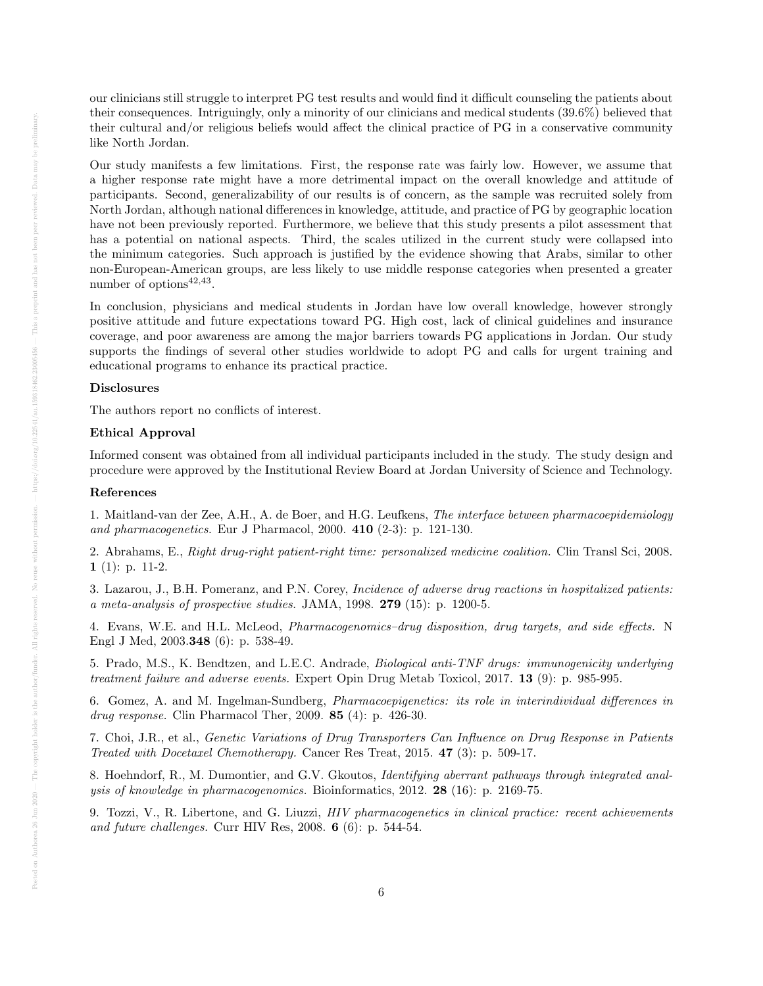our clinicians still struggle to interpret PG test results and would find it difficult counseling the patients about their consequences. Intriguingly, only a minority of our clinicians and medical students (39.6%) believed that their cultural and/or religious beliefs would affect the clinical practice of PG in a conservative community like North Jordan.

Our study manifests a few limitations. First, the response rate was fairly low. However, we assume that a higher response rate might have a more detrimental impact on the overall knowledge and attitude of participants. Second, generalizability of our results is of concern, as the sample was recruited solely from North Jordan, although national differences in knowledge, attitude, and practice of PG by geographic location have not been previously reported. Furthermore, we believe that this study presents a pilot assessment that has a potential on national aspects. Third, the scales utilized in the current study were collapsed into the minimum categories. Such approach is justified by the evidence showing that Arabs, similar to other non-European-American groups, are less likely to use middle response categories when presented a greater number of options $42,43$ .

In conclusion, physicians and medical students in Jordan have low overall knowledge, however strongly positive attitude and future expectations toward PG. High cost, lack of clinical guidelines and insurance coverage, and poor awareness are among the major barriers towards PG applications in Jordan. Our study supports the findings of several other studies worldwide to adopt PG and calls for urgent training and educational programs to enhance its practical practice.

## Disclosures

The authors report no conflicts of interest.

#### Ethical Approval

Informed consent was obtained from all individual participants included in the study. The study design and procedure were approved by the Institutional Review Board at Jordan University of Science and Technology.

#### References

1. Maitland-van der Zee, A.H., A. de Boer, and H.G. Leufkens, The interface between pharmacoepidemiology and pharmacogenetics. Eur J Pharmacol, 2000. 410 (2-3): p. 121-130.

2. Abrahams, E., Right drug-right patient-right time: personalized medicine coalition. Clin Transl Sci, 2008. 1 (1): p. 11-2.

3. Lazarou, J., B.H. Pomeranz, and P.N. Corey, Incidence of adverse drug reactions in hospitalized patients: a meta-analysis of prospective studies. JAMA, 1998. 279 (15): p. 1200-5.

4. Evans, W.E. and H.L. McLeod, Pharmacogenomics–drug disposition, drug targets, and side effects. N Engl J Med, 2003.348 (6): p. 538-49.

5. Prado, M.S., K. Bendtzen, and L.E.C. Andrade, Biological anti-TNF drugs: immunogenicity underlying treatment failure and adverse events. Expert Opin Drug Metab Toxicol, 2017. 13 (9): p. 985-995.

6. Gomez, A. and M. Ingelman-Sundberg, Pharmacoepigenetics: its role in interindividual differences in drug response. Clin Pharmacol Ther, 2009. 85 (4): p. 426-30.

7. Choi, J.R., et al., Genetic Variations of Drug Transporters Can Influence on Drug Response in Patients Treated with Docetaxel Chemotherapy. Cancer Res Treat, 2015. 47 (3): p. 509-17.

8. Hoehndorf, R., M. Dumontier, and G.V. Gkoutos, Identifying aberrant pathways through integrated analysis of knowledge in pharmacogenomics. Bioinformatics, 2012. 28 (16): p. 2169-75.

9. Tozzi, V., R. Libertone, and G. Liuzzi, HIV pharmacogenetics in clinical practice: recent achievements and future challenges. Curr HIV Res, 2008. 6 (6): p. 544-54.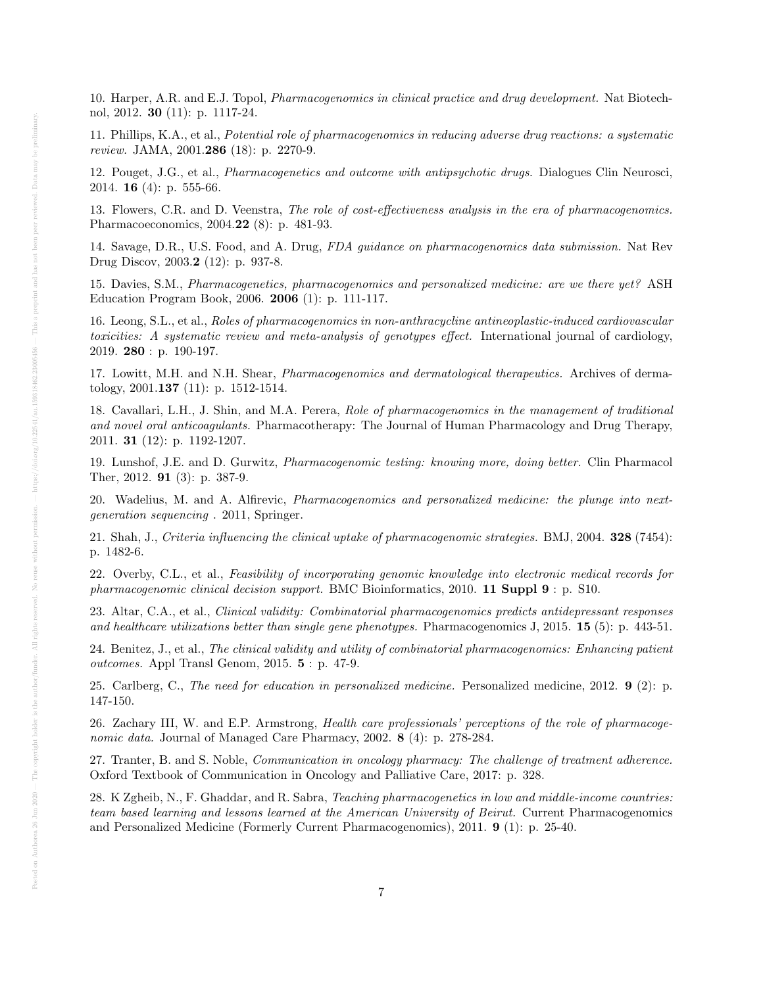10. Harper, A.R. and E.J. Topol, Pharmacogenomics in clinical practice and drug development. Nat Biotechnol, 2012. 30 (11): p. 1117-24.

11. Phillips, K.A., et al., Potential role of pharmacogenomics in reducing adverse drug reactions: a systematic review. JAMA, 2001.286 (18): p. 2270-9.

12. Pouget, J.G., et al., Pharmacogenetics and outcome with antipsychotic drugs. Dialogues Clin Neurosci, 2014. **16** (4): p. 555-66.

13. Flowers, C.R. and D. Veenstra, The role of cost-effectiveness analysis in the era of pharmacogenomics. Pharmacoeconomics, 2004.22 (8): p. 481-93.

14. Savage, D.R., U.S. Food, and A. Drug, FDA guidance on pharmacogenomics data submission. Nat Rev Drug Discov, 2003.2 (12): p. 937-8.

15. Davies, S.M., Pharmacogenetics, pharmacogenomics and personalized medicine: are we there yet? ASH Education Program Book, 2006. 2006 (1): p. 111-117.

16. Leong, S.L., et al., Roles of pharmacogenomics in non-anthracycline antineoplastic-induced cardiovascular toxicities: A systematic review and meta-analysis of genotypes effect. International journal of cardiology, 2019. 280 : p. 190-197.

17. Lowitt, M.H. and N.H. Shear, Pharmacogenomics and dermatological therapeutics. Archives of dermatology, 2001.137 (11): p. 1512-1514.

18. Cavallari, L.H., J. Shin, and M.A. Perera, Role of pharmacogenomics in the management of traditional and novel oral anticoagulants. Pharmacotherapy: The Journal of Human Pharmacology and Drug Therapy, 2011. 31 (12): p. 1192-1207.

19. Lunshof, J.E. and D. Gurwitz, Pharmacogenomic testing: knowing more, doing better. Clin Pharmacol Ther, 2012. 91 (3): p. 387-9.

20. Wadelius, M. and A. Alfirevic, Pharmacogenomics and personalized medicine: the plunge into nextgeneration sequencing . 2011, Springer.

21. Shah, J., Criteria influencing the clinical uptake of pharmacogenomic strategies. BMJ, 2004. 328 (7454): p. 1482-6.

22. Overby, C.L., et al., Feasibility of incorporating genomic knowledge into electronic medical records for pharmacogenomic clinical decision support. BMC Bioinformatics, 2010. 11 Suppl 9 : p. S10.

23. Altar, C.A., et al., Clinical validity: Combinatorial pharmacogenomics predicts antidepressant responses and healthcare utilizations better than single gene phenotypes. Pharmacogenomics J, 2015. 15 (5): p. 443-51.

24. Benitez, J., et al., The clinical validity and utility of combinatorial pharmacogenomics: Enhancing patient outcomes. Appl Transl Genom, 2015. 5 : p. 47-9.

25. Carlberg, C., The need for education in personalized medicine. Personalized medicine, 2012. 9 (2): p. 147-150.

26. Zachary III, W. and E.P. Armstrong, Health care professionals' perceptions of the role of pharmacogenomic data. Journal of Managed Care Pharmacy, 2002. 8 (4): p. 278-284.

27. Tranter, B. and S. Noble, Communication in oncology pharmacy: The challenge of treatment adherence. Oxford Textbook of Communication in Oncology and Palliative Care, 2017: p. 328.

28. K Zgheib, N., F. Ghaddar, and R. Sabra, Teaching pharmacogenetics in low and middle-income countries: team based learning and lessons learned at the American University of Beirut. Current Pharmacogenomics and Personalized Medicine (Formerly Current Pharmacogenomics), 2011. 9 (1): p. 25-40.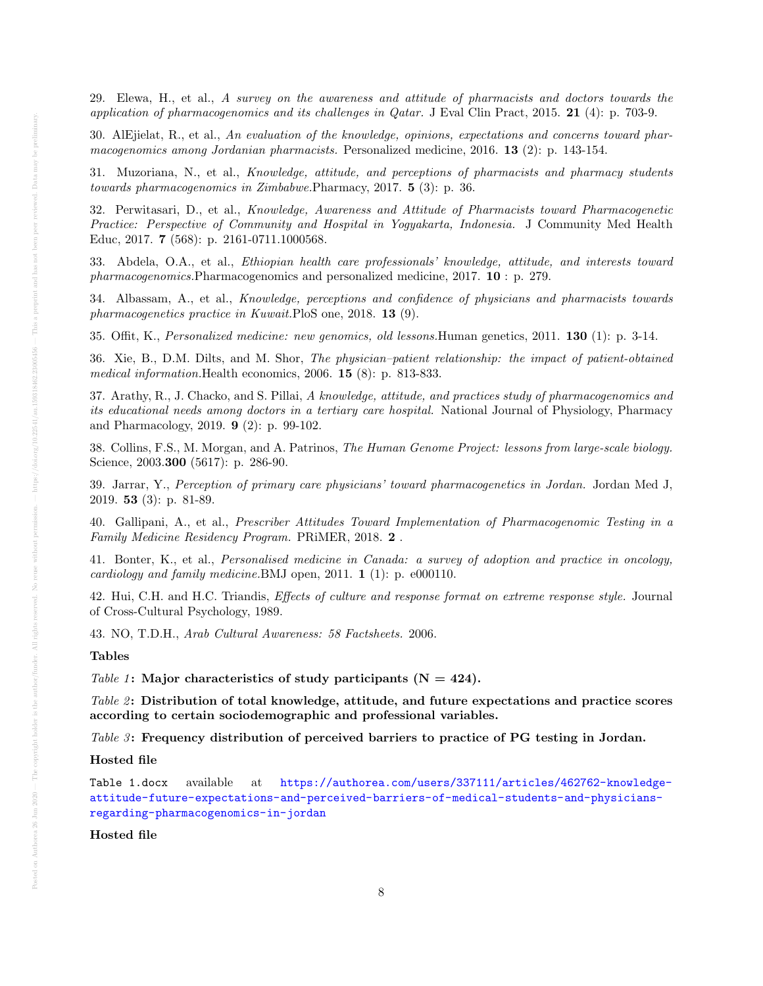29. Elewa, H., et al., A survey on the awareness and attitude of pharmacists and doctors towards the application of pharmacogenomics and its challenges in  $Q_{\text{atar}}$ . J Eval Clin Pract, 2015. 21 (4): p. 703-9.

30. AlEjielat, R., et al., An evaluation of the knowledge, opinions, expectations and concerns toward pharmacogenomics among Jordanian pharmacists. Personalized medicine, 2016. 13 (2): p. 143-154.

31. Muzoriana, N., et al., Knowledge, attitude, and perceptions of pharmacists and pharmacy students towards pharmacogenomics in Zimbabwe.Pharmacy, 2017. 5 (3): p. 36.

32. Perwitasari, D., et al., Knowledge, Awareness and Attitude of Pharmacists toward Pharmacogenetic Practice: Perspective of Community and Hospital in Yogyakarta, Indonesia. J Community Med Health Educ, 2017. 7 (568): p. 2161-0711.1000568.

33. Abdela, O.A., et al., Ethiopian health care professionals' knowledge, attitude, and interests toward pharmacogenomics.Pharmacogenomics and personalized medicine, 2017. 10 : p. 279.

34. Albassam, A., et al., Knowledge, perceptions and confidence of physicians and pharmacists towards pharmacogenetics practice in Kuwait.PloS one, 2018. 13 (9).

35. Offit, K., Personalized medicine: new genomics, old lessons.Human genetics, 2011. 130 (1): p. 3-14.

36. Xie, B., D.M. Dilts, and M. Shor, The physician–patient relationship: the impact of patient-obtained medical information.Health economics, 2006. 15 (8): p. 813-833.

37. Arathy, R., J. Chacko, and S. Pillai, A knowledge, attitude, and practices study of pharmacogenomics and its educational needs among doctors in a tertiary care hospital. National Journal of Physiology, Pharmacy and Pharmacology, 2019. 9 (2): p. 99-102.

38. Collins, F.S., M. Morgan, and A. Patrinos, The Human Genome Project: lessons from large-scale biology. Science, 2003.**300** (5617): p. 286-90.

39. Jarrar, Y., Perception of primary care physicians' toward pharmacogenetics in Jordan. Jordan Med J, 2019. 53 (3): p. 81-89.

40. Gallipani, A., et al., Prescriber Attitudes Toward Implementation of Pharmacogenomic Testing in a Family Medicine Residency Program. PRiMER, 2018. 2 .

41. Bonter, K., et al., Personalised medicine in Canada: a survey of adoption and practice in oncology, cardiology and family medicine.BMJ open, 2011. 1 (1): p. e000110.

42. Hui, C.H. and H.C. Triandis, Effects of culture and response format on extreme response style. Journal of Cross-Cultural Psychology, 1989.

43. NO, T.D.H., Arab Cultural Awareness: 58 Factsheets. 2006.

## Tables

Table 1: Major characteristics of study participants  $(N = 424)$ .

Table  $2$ : Distribution of total knowledge, attitude, and future expectations and practice scores according to certain sociodemographic and professional variables.

Table 3: Frequency distribution of perceived barriers to practice of PG testing in Jordan.

#### Hosted file

```
Table 1.docx available at https://authorea.com/users/337111/articles/462762-knowledge-
attitude-future-expectations-and-perceived-barriers-of-medical-students-and-physicians-
regarding-pharmacogenomics-in-jordan
```
#### Hosted file